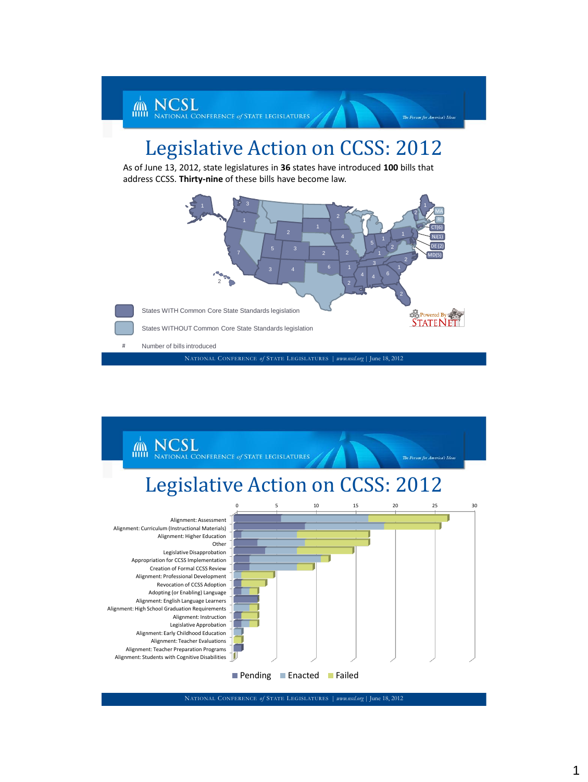

## Legislative Action on CCSS: 2012

As of June 13, 2012, state legislatures in **36** states have introduced **100** bills that address CCSS. **Thirty-nine** of these bills have become law.





NATIONAL CONFERENCE *of* STATE LEGISLATURES | *www.nscl.org |* June 18, 2012